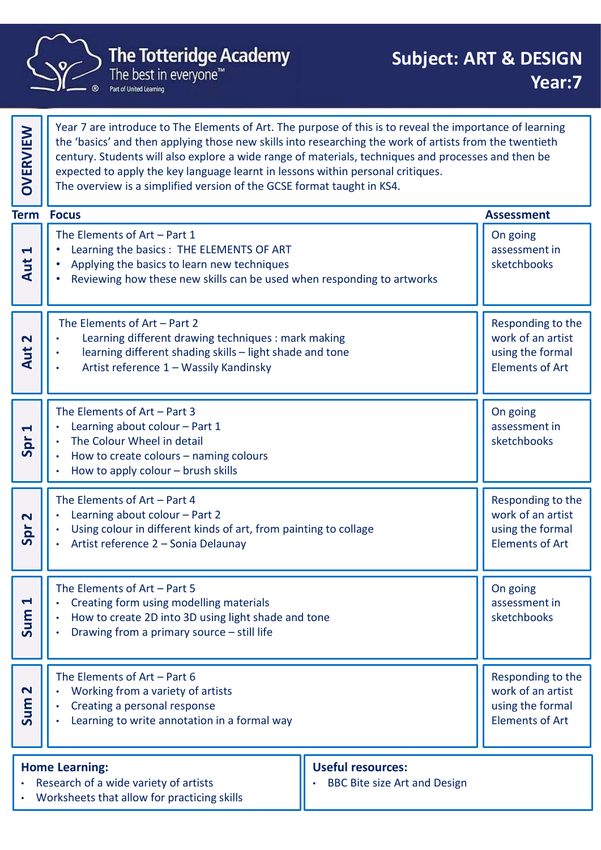

|                             | <b>The Totteridge Academy</b><br>The best in everyone <sup>"</sup><br>Part of United Learning                                                                                                                                                                                                                                                                                                                                                                                           | <b>Subject: ART &amp; DESIGN</b><br>Year:7                                           |
|-----------------------------|-----------------------------------------------------------------------------------------------------------------------------------------------------------------------------------------------------------------------------------------------------------------------------------------------------------------------------------------------------------------------------------------------------------------------------------------------------------------------------------------|--------------------------------------------------------------------------------------|
| <b>OVERVIEW</b>             | Year 7 are introduce to The Elements of Art. The purpose of this is to reveal the importance of learning<br>the 'basics' and then applying those new skills into researching the work of artists from the twentieth<br>century. Students will also explore a wide range of materials, techniques and processes and then be<br>expected to apply the key language learnt in lessons within personal critiques.<br>The overview is a simplified version of the GCSE format taught in KS4. |                                                                                      |
|                             | <b>Term Focus</b>                                                                                                                                                                                                                                                                                                                                                                                                                                                                       | <b>Assessment</b>                                                                    |
| $\blacktriangleleft$<br>Aut | The Elements of $Art - Part 1$<br>Learning the basics : THE ELEMENTS OF ART<br>Applying the basics to learn new techniques<br>Reviewing how these new skills can be used when responding to artworks                                                                                                                                                                                                                                                                                    | On going<br>assessment in<br>sketchbooks                                             |
| $\mathbf N$<br>Aut          | The Elements of Art - Part 2<br>Learning different drawing techniques : mark making<br>learning different shading skills - light shade and tone<br>$\bullet$<br>Artist reference 1 - Wassily Kandinsky                                                                                                                                                                                                                                                                                  | Responding to the<br>work of an artist<br>using the formal<br><b>Elements of Art</b> |
| $\blacktriangleleft$<br>Spr | The Elements of $Art - Part 3$<br>Learning about colour - Part 1<br>The Colour Wheel in detail<br>How to create colours - naming colours<br>How to apply colour - brush skills                                                                                                                                                                                                                                                                                                          | On going<br>assessment in<br>sketchbooks                                             |
| $\mathbf N$<br>Spr          | The Elements of $Art - Part 4$<br>Learning about colour - Part 2<br>Using colour in different kinds of art, from painting to collage<br>Artist reference 2 - Sonia Delaunay                                                                                                                                                                                                                                                                                                             | Responding to the<br>work of an artist<br>using the formal<br><b>Elements of Art</b> |
| $\blacktriangleleft$<br>Sum | The Elements of Art - Part 5<br>Creating form using modelling materials<br>How to create 2D into 3D using light shade and tone<br>Drawing from a primary source - still life                                                                                                                                                                                                                                                                                                            | On going<br>assessment in<br>sketchbooks                                             |
| $\mathbf{\Omega}$<br>Sum    | The Elements of $Art - Part 6$<br>Working from a variety of artists<br>Creating a personal response<br>Learning to write annotation in a formal way                                                                                                                                                                                                                                                                                                                                     | Responding to the<br>work of an artist<br>using the formal<br><b>Elements of Art</b> |
|                             | <b>Useful resources:</b><br><b>Home Learning:</b><br>Research of a wide variety of artists<br><b>BBC Bite size Art and Design</b><br>Worksheets that allow for practicing skills                                                                                                                                                                                                                                                                                                        |                                                                                      |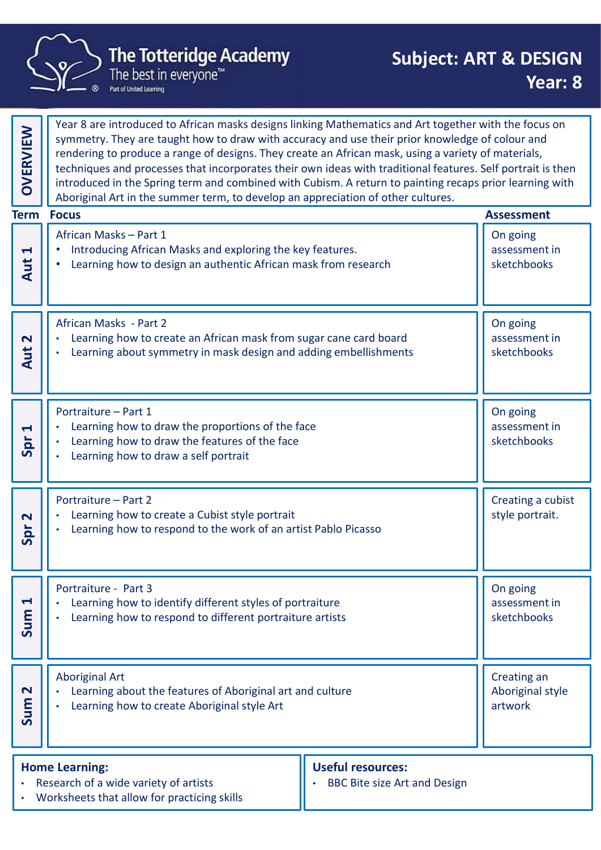

Year 8 are introduced to African masks designs linking Mathematics and Art together with the focus on symmetry. They are taught how to draw with accuracy and use their prior knowledge of colour and rendering to produce a range of designs. They create an African mask, using a variety of materials, techniques and processes that incorporates their own ideas with traditional features. Self portrait is then introduced in the Spring term and combined with Cubism. A return to painting recaps prior learning with Aboriginal Art in the summer term, to develop an appreciation of other cultures.<br>Aboriginal Art in the summer term, to develop an appreciation of other cultures. **Subject:**<br> **African Masks (Academy**<br>
The best in everyone"<br>
The best in everyone"<br>
Year 8 are introduced to African masks designs linking Mathematics and Art togeth<br>
Experiment with accrease are not designs. They create a • Introducing African Masks and exploring the key features. • Learning how to design an authentic African mask from research **the same of the set of the set of the set** On going assessment in sketchbooks Aut 1 The best in everyone"<br>
Year 8 are introduced to African masks designs linking Mathematics and Art togeth<br>
Symmetry. They are taught how to draw with accuracy and use their prior knowled;<br>
rendering to produce a range of de Learning how to create an African mask from sugar cane card board • Learning about symmetry in mask design and adding embellishments  $\|\cdot\|$  sketchbo On going assessment in N | | | Learning how to create an African mask from sugar cane card board<br>  $\left\{\begin{array}{c} \bullet \end{array}\right\}$  Learning about symmetry in mask design and adding embellishments<br>  $\left\{\begin{array}{c} \bullet \end{array}\right\}$  sketchbooks Framingues and processes that incorporates their own ideas with traditional featured<br>unced in the Spring term and combined with Cubism. A return to painting reaching<br>a Aboriginal Art in the summer term, to develop an appr Learning how to draw the proportions of the face • Learning how to draw the features of the face Learning how to draw a self portrait On going assessment in  $\frac{3}{5}$  Searning how to draw the proportions of the face<br>  $\frac{3}{5}$  Learning how to draw the features of the face<br>  $\frac{3}{5}$  Learning how to draw a self portrait • Introducing African Masks and exploring the key features.<br>• Learning how to design an authentic African mask from research<br>African Masks - Part 2<br>• Learning how to create an African mask from sugar cane card board<br>• Lear Learning how to create a Cubist style portrait • Learning how to respond to the work of an artist Pablo Picasso Creating a cubist  $\frac{1}{2}$  Section 1 and 1 and 1 and 1 style portrait.<br>
Section 1 and 1 style portrait.<br>
Section 1 and 2 style portrait. - Learning how to create an African mask from sugar cane card board<br>
- Learning about symmetry in mask design and adding embellishments<br>
-<br>
Portraiture - Part 1<br>
- Learning how to draw the proportions of the face<br>
- Learni Learning how to identify different styles of portraiture • Learning how to respond to different portraiture artists On going assessment in  $\begin{bmatrix} 1 \\ 2 \\ 3 \end{bmatrix}$ . Learning how to identify different styles of portraiture<br>  $\begin{bmatrix} 2 \\ 3 \\ 4 \end{bmatrix}$  Learning how to respond to different portraiture artists<br>  $\begin{bmatrix} 2 \\ 3 \end{bmatrix}$  sketchbooks Aboriginal Art • Learning about the features of Aboriginal art and culture<br>
<br>
• Learning how to create Aboriginal style Art<br>
• Sum 2014<br>
• Learning how to create Aboriginal style Art<br>
• Sum 2016 • Learning how to create Aboriginal style Art Creating an Aboriginal style The Totteridge Academy<br>
The Totteridge Academy<br>
The best in everyone"<br>
Pear: 8<br>
Pear: 8<br>
Pear: 8<br>
Pear: 8<br>
Pear: 8<br>
Pear: 8<br>
Pear: 8<br>
Pear: 8<br>
Pear: 8<br>
Pear: 8<br>
Pear: 8<br>
Pear: 8<br>
Pear: 8<br>
Pear: 8<br>
Pear: 8<br>
Pear: 8<br>
Pear: 8 Home Learning: Research of a wide variety of artists • Worksheets that allow for practicing skills Useful resources: BBC Bite size Art and Design **Term Focus**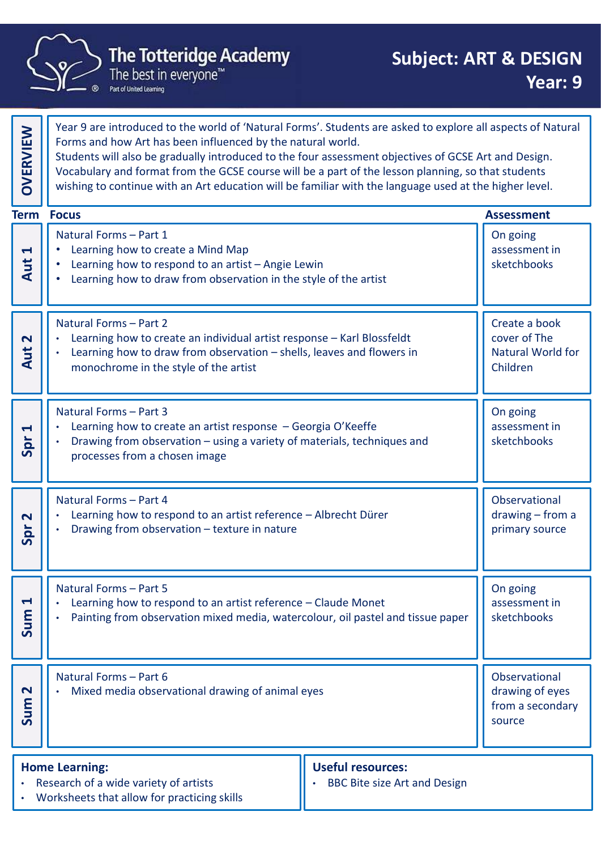

Forms and how Art has been influenced by the natural world. Students will also be gradually introduced to the four assessment objectives of GCSE Art and Design. Vocabulary and format from the GCSE course will be a part of the lesson planning, so that students Wear 9 are introduced to the world of 'Natural Forms'. Students are asked to explore all aspects of Natural Forms and how Art has been influenced by the natural world.<br>
Students will also be gradually introduced to the fou The Totteridge Academy<br>
The best in everyone"<br>
The best in everyone"<br>
Near 9 are introduced to the world of 'Natural Forms'. Students are asked to explore<br>
Forms and how Art has been influenced by the natural world.<br>
Stude • Learning how to create a Mind Map **• Learning how to create an individual artist response – Karl Blossfeldt**<br> **Exaction bow Artist exact an artist development of Conservation Conservation Conservation Conservation of Conservation of Conservation of Conserv** Learning how to draw from observation in the style of the artist On going assessment in sketchbooks Aut 1 The best in everyone"<br>
Year 9 are introduced to the world of 'Natural Forms'. Students are asked to explore<br>
Forms and how Art has been influenced by the natural world.<br>
Students will also be gradually introduced to the fo **Phenomy** and how Art has been influenced by the natural world.<br>
Forms and how Art has been influenced by the natural world.<br>
Students will also be gradually introduced to the four assessment objectives of GCSE Art and D monochrome in the style of the artist Create a book cover of The Natural World for Aut 2 Children Natural Forms – Part and Theories – Cherence and Theories Contents and The Universal Consel Vocabulary and format from the GCSE course will be a part of the lesson planning, susting to continue with an Art education will b • Learning how to draw from observation – using a variety of materials, techniques and<br>
Matural Forms – Part 1<br>
• Learning how to create a Mind Map<br>
• Learning how to create a Mind Map<br>
• Learning how to create a Mind Map FRACT CHERE<br>
• Learning how to create a Mind Map<br>
• Learning how to create a Mind Map<br>
• Learning how to create a Mind Map<br>
• Learning how to create a Mind Map<br>
• Learning how to create an individual artist response – Kar processes from a chosen image On going assessment in  $\frac{1}{2}$  Searning how to create an artist response – Georgia O'Keeffe<br>
Search 1989 - Drawing from observation – using a variety of materials, techniques and<br>
Search 2008 - Processes from a chosen image • Learning how to create a Mind Map<br>• Learning how to respond to an artist – Angie Lewin<br>• Learning how to draw from observation in the style of the artist<br>Natural Forms – Part 2<br>• Learning how to create an individual arti • Learning how to respond to an artist - Angle Lewin<br>
Natural Forms – Part 2<br>
• Learning how to create an individual artist response – Karl Blossfeldt<br>
• Learning how to create an individual artist response – Karl Blossfel Observational sketchbooks<br>
Create a book<br>
cover of The<br>
Natural World for<br>
Children<br>
On going<br>
assessment in<br>
sketchbooks<br>
Dhservational<br>
drawing – from a<br>
primary source<br>
On going<br>
On going<br>
On going  $\frac{p}{p}$  cannot be the spread of the artist reference – Albrecht Dürer<br>  $\frac{p}{p}$  cannot be the spread of the spread of the spread of the spring of the spring of the spring of the spring of the spring of the spring of th - Learning how to create an individual artist response – Karl Blossfeldt<br>
- Learning how to draw from observation – shells, leaves and flowers in<br>
monochrome in the style of the artist<br>
- Matural Forms – Part 3<br>
- Learning • Learning how to draw from observation – shells, leaves and flowers in<br>
• Matural Forms – Part 3<br>
• Learning how to create an artist response – Georgia O'Keeffe<br>
• Drawing from observation – using a variety of materials, On going assessment in sketchbooks<br>
Sum 1: Learning from observation mixed media, watercolour, oil pastel and tissue paper<br>
Sum 1: Painting from observation mixed media, watercolour, oil pastel and tissue paper<br>
Sum 1: Sketchbooks - Learning how to create an artist response – Georgia O'Keeffe<br>
- Drawing from observation – using a variety of materials, techniques and<br>
processes from a chosen image<br>
-<br>
Natural Forms – Part 4<br>
- Learning how to respond • Mixed media observational drawing of animal eyes Observational drawing of eyes  $\begin{bmatrix} 1 \\ 2 \\ 3 \\ 4 \end{bmatrix}$  Mixed media observational drawing of animal eyes<br>  $\begin{bmatrix} 2 \\ 3 \\ 5 \\ 5 \end{bmatrix}$  source The Totteridge Academy<br>
The Totteridge Academy<br>
The best in everyone"<br>
The best in everyone"<br>
Pear: 9<br>
The best in everyone"<br>
Year: 9<br>
The best in everyone"<br>
Year: 9<br>
The best in everyone"<br>
Year: 9<br>
Year: 9<br>
Year: 9<br>
Year: Home Learning: Useful resources: **Term Focus** 

Year 9 are introduced to the world of 'Natural Forms'. Students are asked to explore all aspects of Natural

• Research of a wide variety of artists • Worksheets that allow for practicing skills BBC Bite size Art and Design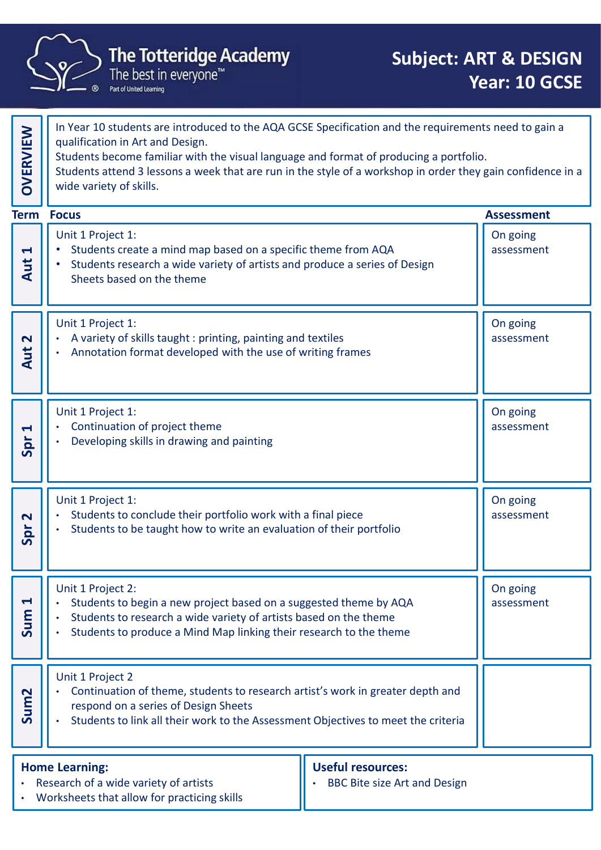

|                             | <b>The Totteridge Academy</b><br>The best in everyone™<br>Part of United Learning                                                                                                                                                                                                                                                                                            | <b>Subject: ART &amp; DESIGN</b><br>Year: 10 GCSE |
|-----------------------------|------------------------------------------------------------------------------------------------------------------------------------------------------------------------------------------------------------------------------------------------------------------------------------------------------------------------------------------------------------------------------|---------------------------------------------------|
| OVERVIEW                    | In Year 10 students are introduced to the AQA GCSE Specification and the requirements need to gain a<br>qualification in Art and Design.<br>Students become familiar with the visual language and format of producing a portfolio.<br>Students attend 3 lessons a week that are run in the style of a workshop in order they gain confidence in a<br>wide variety of skills. |                                                   |
|                             | <b>Term Focus</b>                                                                                                                                                                                                                                                                                                                                                            | <b>Assessment</b>                                 |
| $\blacktriangleleft$<br>Aut | Unit 1 Project 1:<br>Students create a mind map based on a specific theme from AQA<br>$\bullet$<br>Students research a wide variety of artists and produce a series of Design<br>Sheets based on the theme                                                                                                                                                                   | On going<br>assessment                            |
| $\mathbf N$<br>Aut          | Unit 1 Project 1:<br>A variety of skills taught : printing, painting and textiles<br>Annotation format developed with the use of writing frames<br>$\bullet$                                                                                                                                                                                                                 | On going<br>assessment                            |
| $\blacktriangleleft$<br>Spr | Unit 1 Project 1:<br>Continuation of project theme<br>Developing skills in drawing and painting                                                                                                                                                                                                                                                                              | On going<br>assessment                            |
| $\mathbf N$<br>Spr          | Unit 1 Project 1:<br>Students to conclude their portfolio work with a final piece<br>Students to be taught how to write an evaluation of their portfolio                                                                                                                                                                                                                     | On going<br>assessment                            |
| $\blacktriangleleft$<br>Sum | Unit 1 Project 2:<br>Students to begin a new project based on a suggested theme by AQA<br>Students to research a wide variety of artists based on the theme<br>Students to produce a Mind Map linking their research to the theme                                                                                                                                            | On going<br>assessment                            |
| Sum <sub>2</sub>            | Unit 1 Project 2<br>Continuation of theme, students to research artist's work in greater depth and<br>$\bullet$<br>respond on a series of Design Sheets<br>Students to link all their work to the Assessment Objectives to meet the criteria<br>$\bullet$                                                                                                                    |                                                   |
|                             | <b>Home Learning:</b><br><b>Useful resources:</b><br>• Research of a wide variety of artists<br><b>BBC Bite size Art and Design</b><br>Worksheets that allow for practicing skills                                                                                                                                                                                           |                                                   |